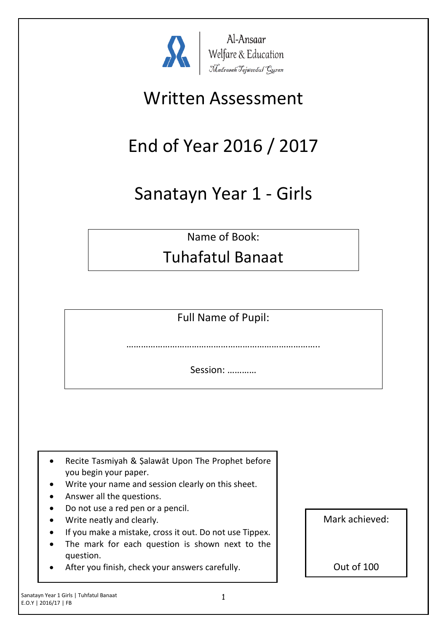

Al-Ansaar Al-Ansaar<br>Welfare & Education<br>Madrasah Tajweedul Guran

# Written Assessment

# End of Year 2016 / 2017

# Sanatayn Year 1 - Girls

Name of Book:

### Tuhafatul Banaat

Full Name of Pupil:

……………………………………………………………………..

Session: …………

- Recite Tasmiyah & Şalawāt Upon The Prophet before you begin your paper.
- Write your name and session clearly on this sheet.
- Answer all the questions.
- Do not use a red pen or a pencil.
- Write neatly and clearly.
- If you make a mistake, cross it out. Do not use Tippex.
- The mark for each question is shown next to the question.
- After you finish, check your answers carefully.

Mark achieved:

Out of 100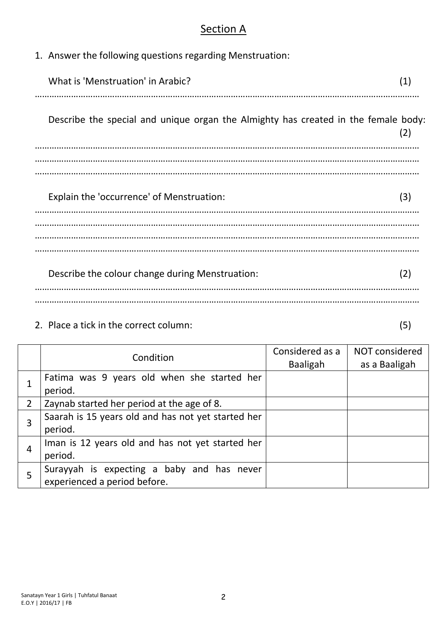#### **Section A**

1. Answer the following questions regarding Menstruation:

| What is 'Menstruation' in Arabic?                                                  | (1) |
|------------------------------------------------------------------------------------|-----|
| Describe the special and unique organ the Almighty has created in the female body: | (2) |
|                                                                                    |     |
| Explain the 'occurrence' of Menstruation:                                          | (3) |
|                                                                                    |     |
| Describe the colour change during Menstruation:                                    | (2) |
|                                                                                    |     |

2. Place a tick in the correct column: (5)

|                | Condition                                          | Considered as a<br><b>Baaligah</b> | NOT considered<br>as a Baaligah |
|----------------|----------------------------------------------------|------------------------------------|---------------------------------|
|                | Fatima was 9 years old when she started her        |                                    |                                 |
|                | period.                                            |                                    |                                 |
| $\overline{2}$ | Zaynab started her period at the age of 8.         |                                    |                                 |
| 3              | Saarah is 15 years old and has not yet started her |                                    |                                 |
|                | period.                                            |                                    |                                 |
|                | Iman is 12 years old and has not yet started her   |                                    |                                 |
| 4              | period.                                            |                                    |                                 |
| 5              | Surayyah is expecting a baby and has never         |                                    |                                 |
|                | experienced a period before.                       |                                    |                                 |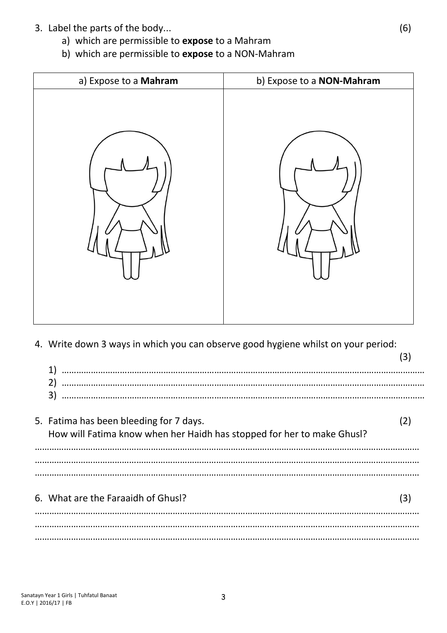- 3. Label the parts of the body... (6)
	- a) which are permissible to **expose** to a Mahram
	- b) which are permissible to **expose** to a NON-Mahram



4. Write down 3 ways in which you can observe good hygiene whilst on your period:

| 1)                                                                                                                |     |
|-------------------------------------------------------------------------------------------------------------------|-----|
| 2)<br>3)                                                                                                          |     |
| 5. Fatima has been bleeding for 7 days.<br>How will Fatima know when her Haidh has stopped for her to make Ghusl? |     |
|                                                                                                                   |     |
| 6. What are the Faraaidh of Ghusl?                                                                                | (3) |
|                                                                                                                   |     |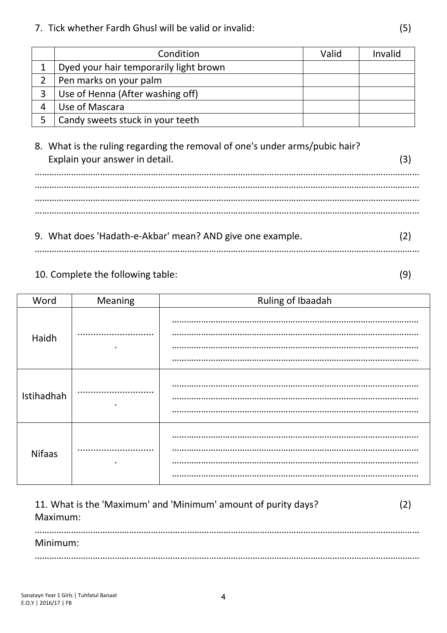7. Tick whether Fardh Ghusl will be valid or invalid: (5)

| Condition                              | Valid | Invalid |
|----------------------------------------|-------|---------|
| Dyed your hair temporarily light brown |       |         |
| Pen marks on your palm                 |       |         |
| Use of Henna (After washing off)       |       |         |
| Use of Mascara                         |       |         |
| Candy sweets stuck in your teeth       |       |         |

### 8. What is the ruling regarding the removal of one's under arms/pubic hair? Explain your answer in detail. (3) …………………………………………………………………………………………………………………………………………… …………………………………………………………………………………………………………………………………………… …………………………………………………………………………………………………………………………………………… 9. What does 'Hadath-e-Akbar' mean? AND give one example. (2)

……………………………………………………………………………………………………………………………………………

#### 10. Complete the following table: (9)

| Word          | Meaning   | Ruling of Ibaadah |
|---------------|-----------|-------------------|
| Haidh         | $\bullet$ | <br>.             |
| Istihadhah    | <br>٠     |                   |
| <b>Nifaas</b> |           |                   |

| 11. What is the 'Maximum' and 'Minimum' amount of purity days?<br>Maximum: |  |
|----------------------------------------------------------------------------|--|
| Minimum:                                                                   |  |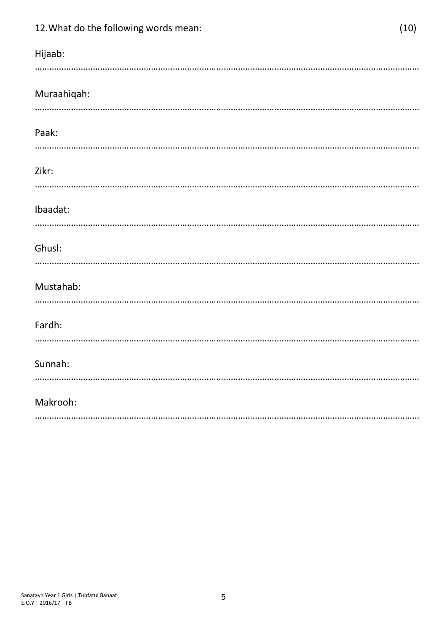| 12. What do the following words mean: | (10) |
|---------------------------------------|------|
| Hijaab:                               |      |
| Muraahiqah:                           |      |
| Paak:                                 |      |
| Zikr:                                 |      |
| Ibaadat:                              |      |
| Ghusl:                                |      |
| Mustahab:                             |      |
| Fardh:                                |      |
| Sunnah:                               |      |
| Makrooh:                              |      |
|                                       |      |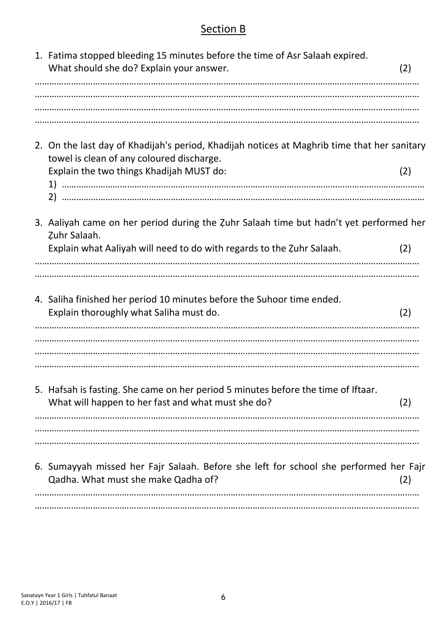#### Section B

| 1. Fatima stopped bleeding 15 minutes before the time of Asr Salaah expired.<br>What should she do? Explain your answer.                                                                   | (2) |
|--------------------------------------------------------------------------------------------------------------------------------------------------------------------------------------------|-----|
|                                                                                                                                                                                            |     |
| 2. On the last day of Khadijah's period, Khadijah notices at Maghrib time that her sanitary<br>towel is clean of any coloured discharge.<br>Explain the two things Khadijah MUST do:<br>2) | (2) |
| 3. Aaliyah came on her period during the Zuhr Salaah time but hadn't yet performed her<br>Zuhr Salaah.<br>Explain what Aaliyah will need to do with regards to the Zuhr Salaah.            | (2) |
| 4. Saliha finished her period 10 minutes before the Suhoor time ended.<br>Explain thoroughly what Saliha must do.                                                                          | (2) |
|                                                                                                                                                                                            |     |
| 5. Hafsah is fasting. She came on her period 5 minutes before the time of Iftaar.<br>What will happen to her fast and what must she do?                                                    | (2) |
|                                                                                                                                                                                            |     |
| 6. Sumayyah missed her Fajr Salaah. Before she left for school she performed her Fajr<br>Qadha. What must she make Qadha of?                                                               | (2) |
|                                                                                                                                                                                            |     |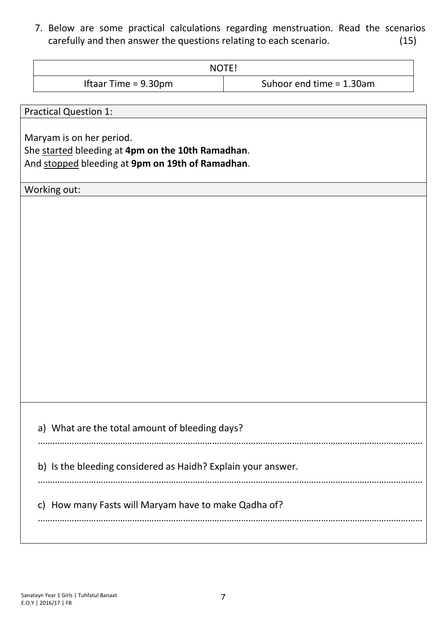7. Below are some practical calculations regarding menstruation. Read the scenarios carefully and then answer the questions relating to each scenario. (15)

| NOTE!                          |                             |
|--------------------------------|-----------------------------|
| Iftaar Time = $9.30 \text{pm}$ | Suhoor end time $= 1.30$ am |

Practical Question 1:

Maryam is on her period.

She started bleeding at **4pm on the 10th Ramadhan**.

And stopped bleeding at **9pm on 19th of Ramadhan**.

Working out:

a) What are the total amount of bleeding days?

b) Is the bleeding considered as Haidh? Explain your answer.

c) How many Fasts will Maryam have to make Qadha of?

……………………………………………………………………………………………………………………………………………

……………………………………………………………………………………………………………………………………………

……………………………………………………………………………………………………………………………………………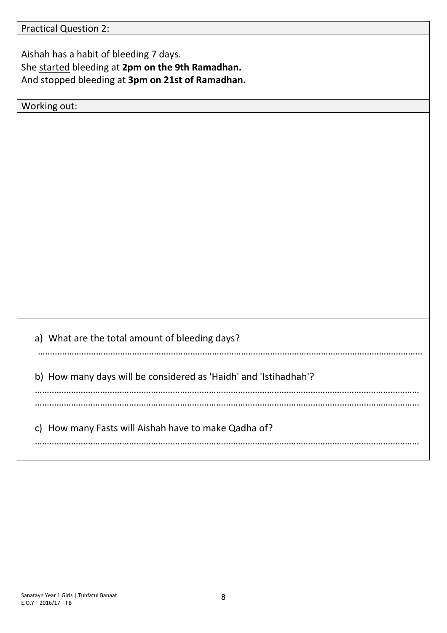Practical Question 2:

Aishah has a habit of bleeding 7 days. She started bleeding at **2pm on the 9th Ramadhan.** And stopped bleeding at **3pm on 21st of Ramadhan.**

Working out:

a) What are the total amount of bleeding days? …………………………………………………………………………………………………………………………………………… b) How many days will be considered as 'Haidh' and 'Istihadhah'? …………………………………………………………………………………………………………………………………………… …………………………………………………………………………………………………………………………………………… c) How many Fasts will Aishah have to make Qadha of? ……………………………………………………………………………………………………………………………………………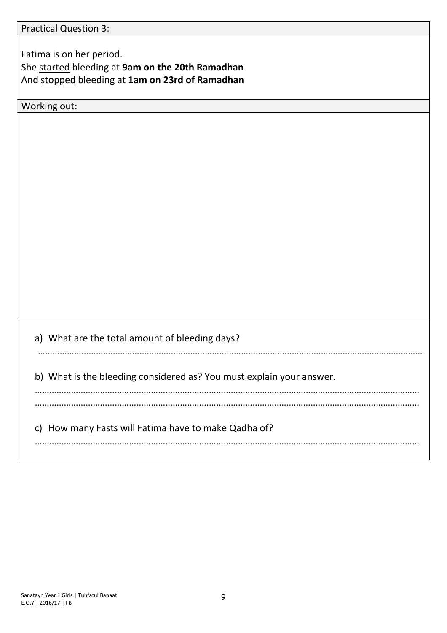Fatima is on her period. She started bleeding at **9am on the 20th Ramadhan** And stopped bleeding at **1am on 23rd of Ramadhan**

Working out:

a) What are the total amount of bleeding days? …………………………………………………………………………………………………………………………………………… b) What is the bleeding considered as? You must explain your answer. …………………………………………………………………………………………………………………………………………… …………………………………………………………………………………………………………………………………………… c) How many Fasts will Fatima have to make Qadha of? ……………………………………………………………………………………………………………………………………………